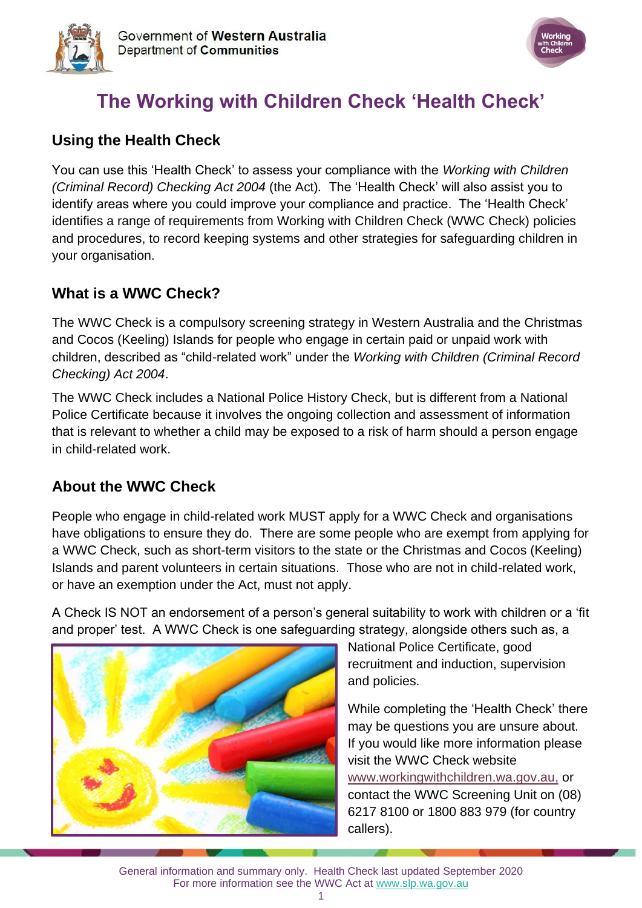



# **The Working with Children Check 'Health Check'**

### **Using the Health Check**

You can use this 'Health Check' to assess your compliance with the *Working with Children (Criminal Record) Checking Act 2004* (the Act)*.* The 'Health Check' will also assist you to identify areas where you could improve your compliance and practice. The 'Health Check' identifies a range of requirements from Working with Children Check (WWC Check) policies and procedures, to record keeping systems and other strategies for safeguarding children in your organisation.

#### **What is a WWC Check?**

The WWC Check is a compulsory screening strategy in Western Australia and the Christmas and Cocos (Keeling) Islands for people who engage in certain paid or unpaid work with children, described as "child-related work" under the *Working with Children (Criminal Record Checking) Act 2004*.

The WWC Check includes a National Police History Check, but is different from a National Police Certificate because it involves the ongoing collection and assessment of information that is relevant to whether a child may be exposed to a risk of harm should a person engage in child-related work.

## **About the WWC Check**

People who engage in child-related work MUST apply for a WWC Check and organisations have obligations to ensure they do. There are some people who are exempt from applying for a WWC Check, such as short-term visitors to the state or the Christmas and Cocos (Keeling) Islands and parent volunteers in certain situations. Those who are not in child-related work, or have an exemption under the Act, must not apply.

A Check IS NOT an endorsement of a person's general suitability to work with children or a 'fit and proper' test. A WWC Check is one safeguarding strategy, alongside others such as, a



National Police Certificate, good recruitment and induction, supervision and policies.

While completing the 'Health Check' there may be questions you are unsure about. If you would like more information please visit the WWC Check website [www.workingwithchildren.wa.gov.au,](http://www.workingwithchildren.wa.gov.au/) or contact the WWC Screening Unit on (08) 6217 8100 or 1800 883 979 (for country callers).

General information and summary only. Health Check last updated September 2020 For more information see the WWC Act at [www.slp.wa.gov.au](http://www.slp.wa.gov.au/legislation/statutes.nsf/main_mrtitle_1095_homepage.html)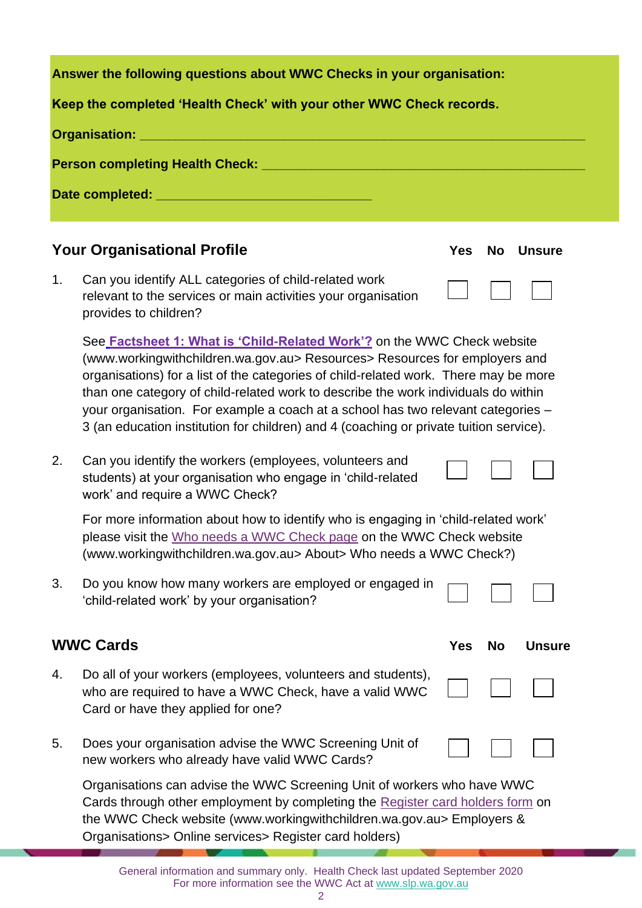| Answer the following questions about WWC Checks in your organisation:                                                                                                                                                            |                                                                                                                                                                                                                                                                                                                                                                                                                                                                                                                          |            |           |               |  |
|----------------------------------------------------------------------------------------------------------------------------------------------------------------------------------------------------------------------------------|--------------------------------------------------------------------------------------------------------------------------------------------------------------------------------------------------------------------------------------------------------------------------------------------------------------------------------------------------------------------------------------------------------------------------------------------------------------------------------------------------------------------------|------------|-----------|---------------|--|
|                                                                                                                                                                                                                                  | Keep the completed 'Health Check' with your other WWC Check records.                                                                                                                                                                                                                                                                                                                                                                                                                                                     |            |           |               |  |
|                                                                                                                                                                                                                                  |                                                                                                                                                                                                                                                                                                                                                                                                                                                                                                                          |            |           |               |  |
|                                                                                                                                                                                                                                  |                                                                                                                                                                                                                                                                                                                                                                                                                                                                                                                          |            |           |               |  |
|                                                                                                                                                                                                                                  |                                                                                                                                                                                                                                                                                                                                                                                                                                                                                                                          |            |           |               |  |
|                                                                                                                                                                                                                                  |                                                                                                                                                                                                                                                                                                                                                                                                                                                                                                                          |            |           |               |  |
|                                                                                                                                                                                                                                  | <b>Your Organisational Profile</b>                                                                                                                                                                                                                                                                                                                                                                                                                                                                                       | <b>Yes</b> | <b>No</b> | <b>Unsure</b> |  |
| 1.                                                                                                                                                                                                                               | Can you identify ALL categories of child-related work<br>relevant to the services or main activities your organisation<br>provides to children?                                                                                                                                                                                                                                                                                                                                                                          |            |           |               |  |
|                                                                                                                                                                                                                                  | See <b>Factsheet 1: What is 'Child-Related Work'?</b> on the WWC Check website<br>(www.workingwithchildren.wa.gov.au> Resources> Resources for employers and<br>organisations) for a list of the categories of child-related work. There may be more<br>than one category of child-related work to describe the work individuals do within<br>your organisation. For example a coach at a school has two relevant categories -<br>3 (an education institution for children) and 4 (coaching or private tuition service). |            |           |               |  |
| 2.                                                                                                                                                                                                                               | Can you identify the workers (employees, volunteers and<br>students) at your organisation who engage in 'child-related<br>work' and require a WWC Check?                                                                                                                                                                                                                                                                                                                                                                 |            |           |               |  |
| For more information about how to identify who is engaging in 'child-related work'<br>please visit the Who needs a WWC Check page on the WWC Check website<br>(www.workingwithchildren.wa.gov.au> About> Who needs a WWC Check?) |                                                                                                                                                                                                                                                                                                                                                                                                                                                                                                                          |            |           |               |  |
| 3.                                                                                                                                                                                                                               | Do you know how many workers are employed or engaged in<br>'child-related work' by your organisation?                                                                                                                                                                                                                                                                                                                                                                                                                    |            |           |               |  |
|                                                                                                                                                                                                                                  | <b>WWC Cards</b>                                                                                                                                                                                                                                                                                                                                                                                                                                                                                                         | <b>Yes</b> | No        | <b>Unsure</b> |  |
| 4.                                                                                                                                                                                                                               | Do all of your workers (employees, volunteers and students),<br>who are required to have a WWC Check, have a valid WWC<br>Card or have they applied for one?                                                                                                                                                                                                                                                                                                                                                             |            |           |               |  |
| 5.                                                                                                                                                                                                                               | Does your organisation advise the WWC Screening Unit of<br>new workers who already have valid WWC Cards?                                                                                                                                                                                                                                                                                                                                                                                                                 |            |           |               |  |

Organisations can advise the WWC Screening Unit of workers who have WWC Cards through other employment by completing the [Register card holders form](https://workingwithchildren.wa.gov.au/employers-organisations/online-services/registeremployees) on the WWC Check website (www.workingwithchildren.wa.gov.au> Employers & Organisations> Online services> Register card holders)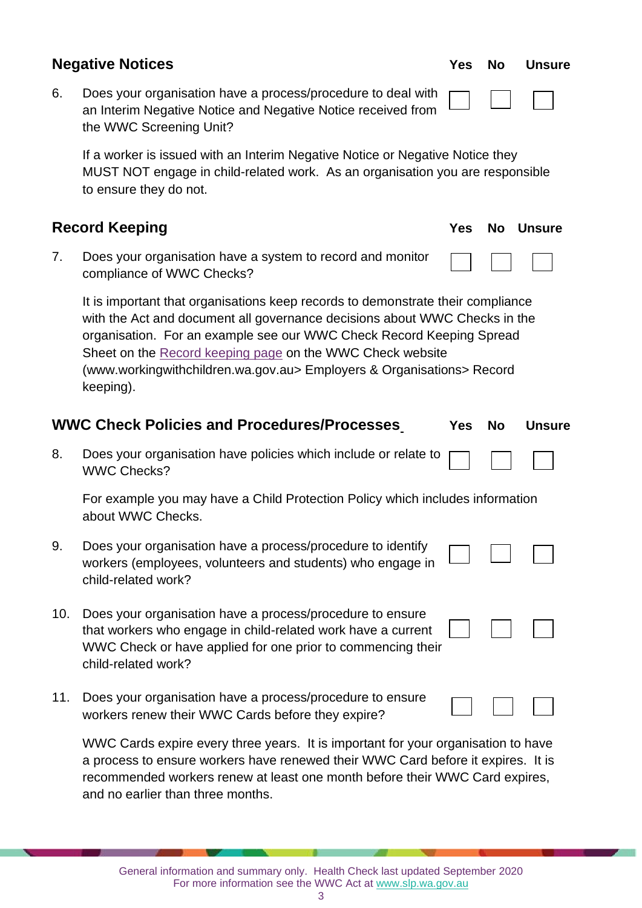| <b>Negative Notices</b> |                                                                                                                                                                                                                                                                                                                                                                                          | <b>Yes</b> | <b>No</b> | <b>Unsure</b> |
|-------------------------|------------------------------------------------------------------------------------------------------------------------------------------------------------------------------------------------------------------------------------------------------------------------------------------------------------------------------------------------------------------------------------------|------------|-----------|---------------|
| 6.                      | Does your organisation have a process/procedure to deal with<br>an Interim Negative Notice and Negative Notice received from<br>the WWC Screening Unit?                                                                                                                                                                                                                                  |            |           |               |
|                         | If a worker is issued with an Interim Negative Notice or Negative Notice they<br>MUST NOT engage in child-related work. As an organisation you are responsible<br>to ensure they do not.                                                                                                                                                                                                 |            |           |               |
|                         | <b>Record Keeping</b>                                                                                                                                                                                                                                                                                                                                                                    | <b>Yes</b> | <b>No</b> | <b>Unsure</b> |
| 7.                      | Does your organisation have a system to record and monitor<br>compliance of WWC Checks?                                                                                                                                                                                                                                                                                                  |            |           |               |
|                         | It is important that organisations keep records to demonstrate their compliance<br>with the Act and document all governance decisions about WWC Checks in the<br>organisation. For an example see our WWC Check Record Keeping Spread<br>Sheet on the Record keeping page on the WWC Check website<br>(www.workingwithchildren.wa.gov.au> Employers & Organisations> Record<br>keeping). |            |           |               |
|                         |                                                                                                                                                                                                                                                                                                                                                                                          |            |           |               |
|                         | <b>WWC Check Policies and Procedures/Processes</b>                                                                                                                                                                                                                                                                                                                                       | <b>Yes</b> | <b>No</b> | <b>Unsure</b> |
| 8.                      | Does your organisation have policies which include or relate to<br><b>WWC Checks?</b>                                                                                                                                                                                                                                                                                                    |            |           |               |
|                         | For example you may have a Child Protection Policy which includes information<br>about WWC Checks.                                                                                                                                                                                                                                                                                       |            |           |               |
| 9.                      | Does your organisation have a process/procedure to identify<br>workers (employees, volunteers and students) who engage in<br>child-related work?                                                                                                                                                                                                                                         |            |           |               |
| 10.                     | Does your organisation have a process/procedure to ensure<br>that workers who engage in child-related work have a current<br>WWC Check or have applied for one prior to commencing their<br>child-related work?                                                                                                                                                                          |            |           |               |
| 11.                     | Does your organisation have a process/procedure to ensure<br>workers renew their WWC Cards before they expire?                                                                                                                                                                                                                                                                           |            |           |               |

WWC Cards expire every three years. It is important for your organisation to have a process to ensure workers have renewed their WWC Card before it expires. It is recommended workers renew at least one month before their WWC Card expires, and no earlier than three months.